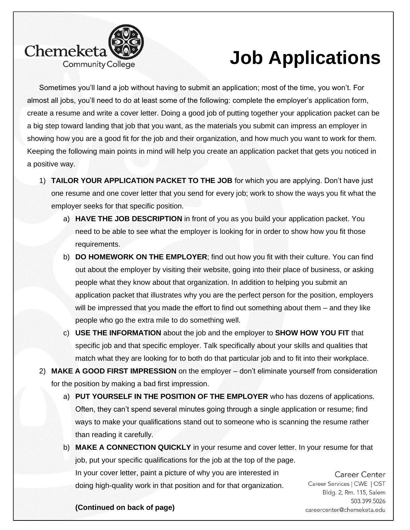

## **Job Applications**

Sometimes you'll land a job without having to submit an application; most of the time, you won't. For almost all jobs, you'll need to do at least some of the following: complete the employer's application form, create a resume and write a cover letter. Doing a good job of putting together your application packet can be a big step toward landing that job that you want, as the materials you submit can impress an employer in showing how you are a good fit for the job and their organization, and how much you want to work for them. Keeping the following main points in mind will help you create an application packet that gets you noticed in a positive way.

- 1) **TAILOR YOUR APPLICATION PACKET TO THE JOB** for which you are applying. Don't have just one resume and one cover letter that you send for every job; work to show the ways you fit what the employer seeks for that specific position.
	- a) **HAVE THE JOB DESCRIPTION** in front of you as you build your application packet. You need to be able to see what the employer is looking for in order to show how you fit those requirements.
	- b) **DO HOMEWORK ON THE EMPLOYER**; find out how you fit with their culture. You can find out about the employer by visiting their website, going into their place of business, or asking people what they know about that organization. In addition to helping you submit an application packet that illustrates why you are the perfect person for the position, employers will be impressed that you made the effort to find out something about them – and they like people who go the extra mile to do something well.
	- c) **USE THE INFORMATION** about the job and the employer to **SHOW HOW YOU FIT** that specific job and that specific employer. Talk specifically about your skills and qualities that match what they are looking for to both do that particular job and to fit into their workplace.
- 2) **MAKE A GOOD FIRST IMPRESSION** on the employer don't eliminate yourself from consideration for the position by making a bad first impression.
	- a) **PUT YOURSELF IN THE POSITION OF THE EMPLOYER** who has dozens of applications. Often, they can't spend several minutes going through a single application or resume; find ways to make your qualifications stand out to someone who is scanning the resume rather than reading it carefully.
	- b) **MAKE A CONNECTION QUICKLY** in your resume and cover letter. In your resume for that job, put your specific qualifications for the job at the top of the page. In your cover letter, paint a picture of why you are interested in doing high-quality work in that position and for that organization.

Career Center Career Services | CWE | OST Bldg. 2, Rm. 115, Salem 503.399.5026 careercenter@chemeketa.edu

**(Continued on back of page)**